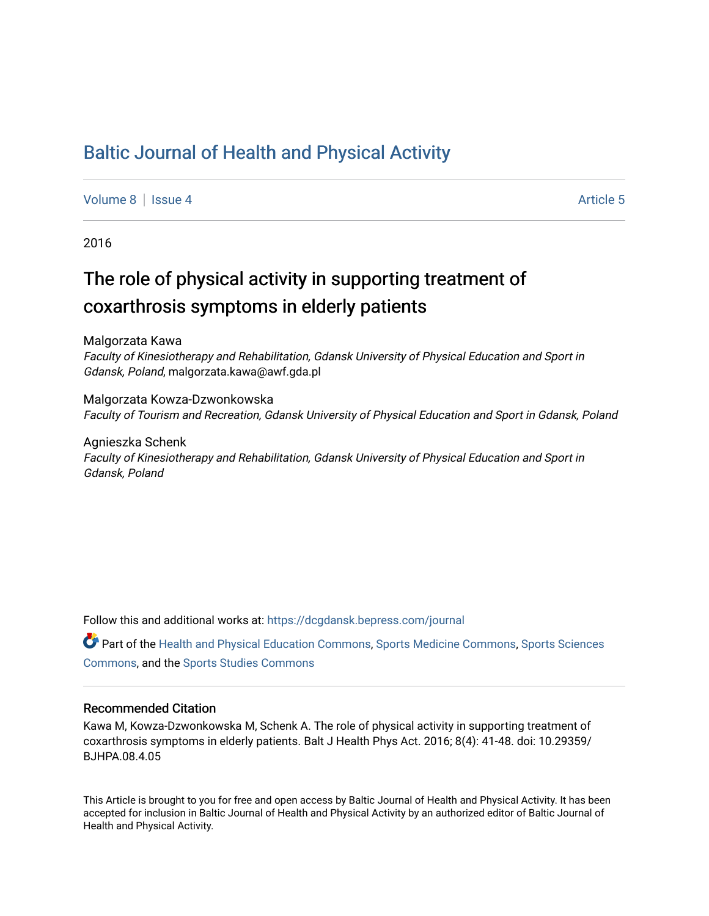## [Baltic Journal of Health and Physical Activity](https://dcgdansk.bepress.com/journal)

[Volume 8](https://dcgdansk.bepress.com/journal/vol8) | [Issue 4](https://dcgdansk.bepress.com/journal/vol8/iss4) Article 5

2016

## The role of physical activity in supporting treatment of coxarthrosis symptoms in elderly patients

Malgorzata Kawa

Faculty of Kinesiotherapy and Rehabilitation, Gdansk University of Physical Education and Sport in Gdansk, Poland, malgorzata.kawa@awf.gda.pl

Malgorzata Kowza-Dzwonkowska Faculty of Tourism and Recreation, Gdansk University of Physical Education and Sport in Gdansk, Poland

Agnieszka Schenk Faculty of Kinesiotherapy and Rehabilitation, Gdansk University of Physical Education and Sport in Gdansk, Poland

Follow this and additional works at: [https://dcgdansk.bepress.com/journal](https://dcgdansk.bepress.com/journal?utm_source=dcgdansk.bepress.com%2Fjournal%2Fvol8%2Fiss4%2F5&utm_medium=PDF&utm_campaign=PDFCoverPages)

Part of the [Health and Physical Education Commons](http://network.bepress.com/hgg/discipline/1327?utm_source=dcgdansk.bepress.com%2Fjournal%2Fvol8%2Fiss4%2F5&utm_medium=PDF&utm_campaign=PDFCoverPages), [Sports Medicine Commons,](http://network.bepress.com/hgg/discipline/1331?utm_source=dcgdansk.bepress.com%2Fjournal%2Fvol8%2Fiss4%2F5&utm_medium=PDF&utm_campaign=PDFCoverPages) [Sports Sciences](http://network.bepress.com/hgg/discipline/759?utm_source=dcgdansk.bepress.com%2Fjournal%2Fvol8%2Fiss4%2F5&utm_medium=PDF&utm_campaign=PDFCoverPages) [Commons](http://network.bepress.com/hgg/discipline/759?utm_source=dcgdansk.bepress.com%2Fjournal%2Fvol8%2Fiss4%2F5&utm_medium=PDF&utm_campaign=PDFCoverPages), and the [Sports Studies Commons](http://network.bepress.com/hgg/discipline/1198?utm_source=dcgdansk.bepress.com%2Fjournal%2Fvol8%2Fiss4%2F5&utm_medium=PDF&utm_campaign=PDFCoverPages) 

#### Recommended Citation

Kawa M, Kowza-Dzwonkowska M, Schenk A. The role of physical activity in supporting treatment of coxarthrosis symptoms in elderly patients. Balt J Health Phys Act. 2016; 8(4): 41-48. doi: 10.29359/ BJHPA.08.4.05

This Article is brought to you for free and open access by Baltic Journal of Health and Physical Activity. It has been accepted for inclusion in Baltic Journal of Health and Physical Activity by an authorized editor of Baltic Journal of Health and Physical Activity.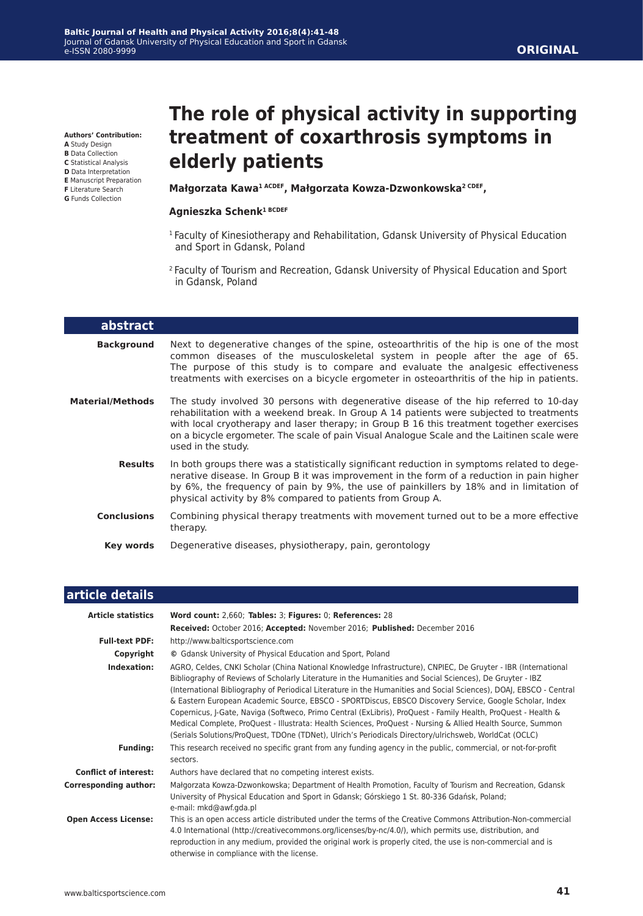**Authors' Contribution:**

- **A** Study Design
- **B** Data Collection **C** Statistical Analysis
- **D** Data Interpretation
- **E** Manuscript Preparation
- **F** Literature Search
- **G** Funds Collection

# **The role of physical activity in supporting treatment of coxarthrosis symptoms in elderly patients**

**Małgorzata Kawa1 ACDEF, Małgorzata Kowza-Dzwonkowska2 CDEF,**

#### **Agnieszka Schenk1 BCDEF**

- 1 Faculty of Kinesiotherapy and Rehabilitation, Gdansk University of Physical Education and Sport in Gdansk, Poland
- 2 Faculty of Tourism and Recreation, Gdansk University of Physical Education and Sport in Gdansk, Poland

| abstract                |                                                                                                                                                                                                                                                                                                                                                                                                     |
|-------------------------|-----------------------------------------------------------------------------------------------------------------------------------------------------------------------------------------------------------------------------------------------------------------------------------------------------------------------------------------------------------------------------------------------------|
| <b>Background</b>       | Next to degenerative changes of the spine, osteoarthritis of the hip is one of the most<br>common diseases of the musculoskeletal system in people after the age of 65.<br>The purpose of this study is to compare and evaluate the analgesic effectiveness<br>treatments with exercises on a bicycle ergometer in osteoarthritis of the hip in patients.                                           |
| <b>Material/Methods</b> | The study involved 30 persons with degenerative disease of the hip referred to 10-day<br>rehabilitation with a weekend break. In Group A 14 patients were subjected to treatments<br>with local cryotherapy and laser therapy; in Group B 16 this treatment together exercises<br>on a bicycle ergometer. The scale of pain Visual Analogue Scale and the Laitinen scale were<br>used in the study. |
| <b>Results</b>          | In both groups there was a statistically significant reduction in symptoms related to dege-<br>nerative disease. In Group B it was improvement in the form of a reduction in pain higher<br>by 6%, the frequency of pain by 9%, the use of painkillers by 18% and in limitation of<br>physical activity by 8% compared to patients from Group A.                                                    |
| <b>Conclusions</b>      | Combining physical therapy treatments with movement turned out to be a more effective<br>therapy.                                                                                                                                                                                                                                                                                                   |
| Key words               | Degenerative diseases, physiotherapy, pain, gerontology                                                                                                                                                                                                                                                                                                                                             |

| article details              |                                                                                                                                                                                                                                                                                                                                                                                                                                                                                                                                                                                                                                                                                                                                                                                                      |
|------------------------------|------------------------------------------------------------------------------------------------------------------------------------------------------------------------------------------------------------------------------------------------------------------------------------------------------------------------------------------------------------------------------------------------------------------------------------------------------------------------------------------------------------------------------------------------------------------------------------------------------------------------------------------------------------------------------------------------------------------------------------------------------------------------------------------------------|
| <b>Article statistics</b>    | Word count: 2,660; Tables: 3; Figures: 0; References: 28<br>Received: October 2016; Accepted: November 2016; Published: December 2016                                                                                                                                                                                                                                                                                                                                                                                                                                                                                                                                                                                                                                                                |
| <b>Full-text PDF:</b>        | http://www.balticsportscience.com                                                                                                                                                                                                                                                                                                                                                                                                                                                                                                                                                                                                                                                                                                                                                                    |
| Copyright                    | © Gdansk University of Physical Education and Sport, Poland                                                                                                                                                                                                                                                                                                                                                                                                                                                                                                                                                                                                                                                                                                                                          |
| Indexation:                  | AGRO, Celdes, CNKI Scholar (China National Knowledge Infrastructure), CNPIEC, De Gruyter - IBR (International<br>Bibliography of Reviews of Scholarly Literature in the Humanities and Social Sciences), De Gruyter - IBZ<br>(International Bibliography of Periodical Literature in the Humanities and Social Sciences), DOAJ, EBSCO - Central<br>& Eastern European Academic Source, EBSCO - SPORTDiscus, EBSCO Discovery Service, Google Scholar, Index<br>Copernicus, J-Gate, Naviga (Softweco, Primo Central (ExLibris), ProQuest - Family Health, ProQuest - Health &<br>Medical Complete, ProQuest - Illustrata: Health Sciences, ProQuest - Nursing & Allied Health Source, Summon<br>(Serials Solutions/ProQuest, TDOne (TDNet), Ulrich's Periodicals Directory/ulrichsweb, WorldCat (OCLC) |
| <b>Funding:</b>              | This research received no specific grant from any funding agency in the public, commercial, or not-for-profit<br>sectors.                                                                                                                                                                                                                                                                                                                                                                                                                                                                                                                                                                                                                                                                            |
| <b>Conflict of interest:</b> | Authors have declared that no competing interest exists.                                                                                                                                                                                                                                                                                                                                                                                                                                                                                                                                                                                                                                                                                                                                             |
| <b>Corresponding author:</b> | Małgorzata Kowza-Dzwonkowska; Department of Health Promotion, Faculty of Tourism and Recreation, Gdansk<br>University of Physical Education and Sport in Gdansk; Górskiego 1 St. 80-336 Gdańsk, Poland;<br>e-mail: mkd@awf.gda.pl                                                                                                                                                                                                                                                                                                                                                                                                                                                                                                                                                                    |
| <b>Open Access License:</b>  | This is an open access article distributed under the terms of the Creative Commons Attribution-Non-commercial<br>4.0 International (http://creativecommons.org/licenses/by-nc/4.0/), which permits use, distribution, and<br>reproduction in any medium, provided the original work is properly cited, the use is non-commercial and is<br>otherwise in compliance with the license.                                                                                                                                                                                                                                                                                                                                                                                                                 |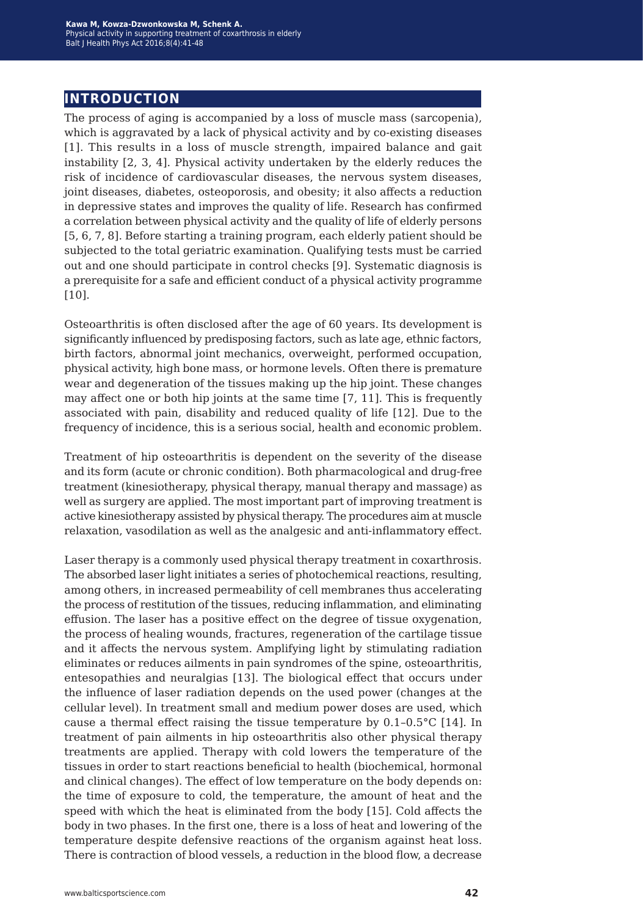## **introduction**

The process of aging is accompanied by a loss of muscle mass (sarcopenia), which is aggravated by a lack of physical activity and by co-existing diseases [1]. This results in a loss of muscle strength, impaired balance and gait instability [2, 3, 4]. Physical activity undertaken by the elderly reduces the risk of incidence of cardiovascular diseases, the nervous system diseases, joint diseases, diabetes, osteoporosis, and obesity; it also affects a reduction in depressive states and improves the quality of life. Research has confirmed a correlation between physical activity and the quality of life of elderly persons [5, 6, 7, 8]. Before starting a training program, each elderly patient should be subjected to the total geriatric examination. Qualifying tests must be carried out and one should participate in control checks [9]. Systematic diagnosis is a prerequisite for a safe and efficient conduct of a physical activity programme [10].

Osteoarthritis is often disclosed after the age of 60 years. Its development is significantly influenced by predisposing factors, such as late age, ethnic factors, birth factors, abnormal joint mechanics, overweight, performed occupation, physical activity, high bone mass, or hormone levels. Often there is premature wear and degeneration of the tissues making up the hip joint. These changes may affect one or both hip joints at the same time [7, 11]. This is frequently associated with pain, disability and reduced quality of life [12]. Due to the frequency of incidence, this is a serious social, health and economic problem.

Treatment of hip osteoarthritis is dependent on the severity of the disease and its form (acute or chronic condition). Both pharmacological and drug-free treatment (kinesiotherapy, physical therapy, manual therapy and massage) as well as surgery are applied. The most important part of improving treatment is active kinesiotherapy assisted by physical therapy. The procedures aim at muscle relaxation, vasodilation as well as the analgesic and anti-inflammatory effect.

Laser therapy is a commonly used physical therapy treatment in coxarthrosis. The absorbed laser light initiates a series of photochemical reactions, resulting, among others, in increased permeability of cell membranes thus accelerating the process of restitution of the tissues, reducing inflammation, and eliminating effusion. The laser has a positive effect on the degree of tissue oxygenation, the process of healing wounds, fractures, regeneration of the cartilage tissue and it affects the nervous system. Amplifying light by stimulating radiation eliminates or reduces ailments in pain syndromes of the spine, osteoarthritis, entesopathies and neuralgias [13]. The biological effect that occurs under the influence of laser radiation depends on the used power (changes at the cellular level). In treatment small and medium power doses are used, which cause a thermal effect raising the tissue temperature by 0.1–0.5°C [14]. In treatment of pain ailments in hip osteoarthritis also other physical therapy treatments are applied. Therapy with cold lowers the temperature of the tissues in order to start reactions beneficial to health (biochemical, hormonal and clinical changes). The effect of low temperature on the body depends on: the time of exposure to cold, the temperature, the amount of heat and the speed with which the heat is eliminated from the body [15]. Cold affects the body in two phases. In the first one, there is a loss of heat and lowering of the temperature despite defensive reactions of the organism against heat loss. There is contraction of blood vessels, a reduction in the blood flow, a decrease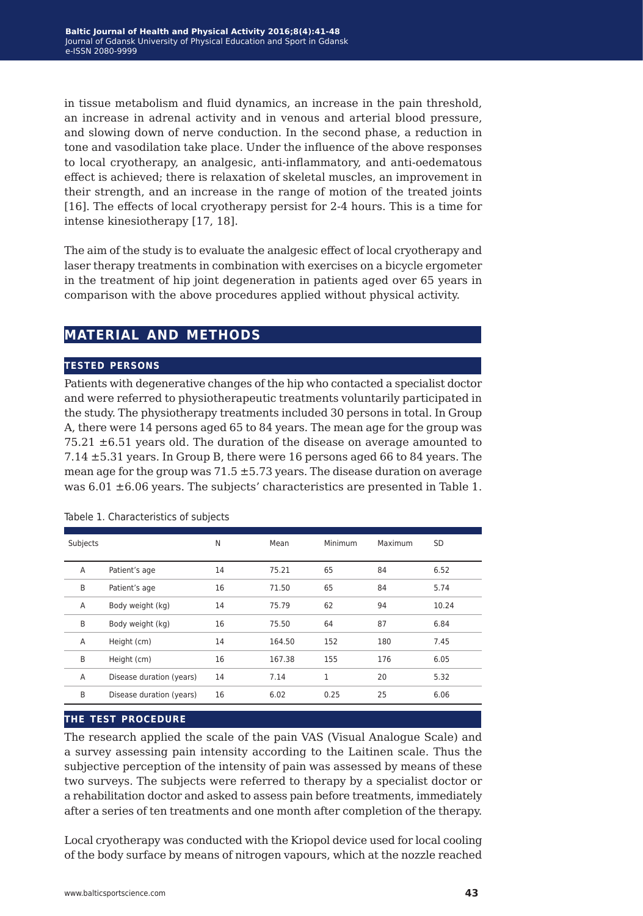in tissue metabolism and fluid dynamics, an increase in the pain threshold, an increase in adrenal activity and in venous and arterial blood pressure, and slowing down of nerve conduction. In the second phase, a reduction in tone and vasodilation take place. Under the influence of the above responses to local cryotherapy, an analgesic, anti-inflammatory, and anti-oedematous effect is achieved; there is relaxation of skeletal muscles, an improvement in their strength, and an increase in the range of motion of the treated joints [16]. The effects of local cryotherapy persist for 2-4 hours. This is a time for intense kinesiotherapy [17, 18].

The aim of the study is to evaluate the analgesic effect of local cryotherapy and laser therapy treatments in combination with exercises on a bicycle ergometer in the treatment of hip joint degeneration in patients aged over 65 years in comparison with the above procedures applied without physical activity.

## **material and methods**

#### **tested persons**

Patients with degenerative changes of the hip who contacted a specialist doctor and were referred to physiotherapeutic treatments voluntarily participated in the study. The physiotherapy treatments included 30 persons in total. In Group A, there were 14 persons aged 65 to 84 years. The mean age for the group was 75.21  $\pm$ 6.51 years old. The duration of the disease on average amounted to 7.14 ±5.31 years. In Group B, there were 16 persons aged 66 to 84 years. The mean age for the group was  $71.5 \pm 5.73$  years. The disease duration on average was  $6.01 \pm 6.06$  years. The subjects' characteristics are presented in Table 1.

| Subjects |                          | N  | Mean   | Minimum      | Maximum | <b>SD</b> |
|----------|--------------------------|----|--------|--------------|---------|-----------|
| A        | Patient's age            | 14 | 75.21  | 65           | 84      | 6.52      |
| B        | Patient's age            | 16 | 71.50  | 65           | 84      | 5.74      |
| A        | Body weight (kg)         | 14 | 75.79  | 62           | 94      | 10.24     |
| B        | Body weight (kg)         | 16 | 75.50  | 64           | 87      | 6.84      |
| A        | Height (cm)              | 14 | 164.50 | 152          | 180     | 7.45      |
| B        | Height (cm)              | 16 | 167.38 | 155          | 176     | 6.05      |
| A        | Disease duration (years) | 14 | 7.14   | $\mathbf{1}$ | 20      | 5.32      |
| B        | Disease duration (years) | 16 | 6.02   | 0.25         | 25      | 6.06      |

Tabele 1. Characteristics of subjects

## **the test procedure**

The research applied the scale of the pain VAS (Visual Analogue Scale) and a survey assessing pain intensity according to the Laitinen scale. Thus the subjective perception of the intensity of pain was assessed by means of these two surveys. The subjects were referred to therapy by a specialist doctor or a rehabilitation doctor and asked to assess pain before treatments, immediately after a series of ten treatments and one month after completion of the therapy.

Local cryotherapy was conducted with the Kriopol device used for local cooling of the body surface by means of nitrogen vapours, which at the nozzle reached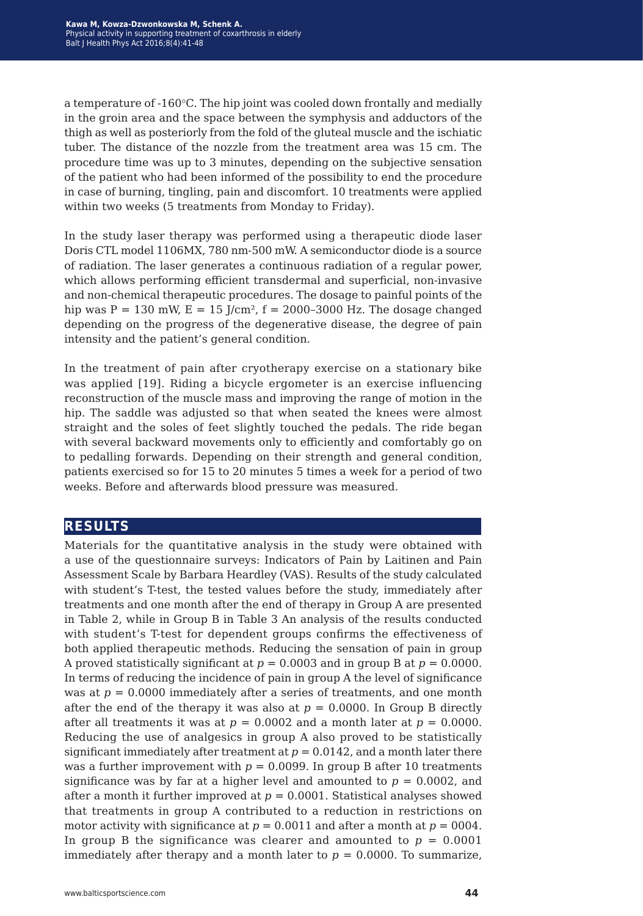a temperature of -160°C. The hip joint was cooled down frontally and medially in the groin area and the space between the symphysis and adductors of the thigh as well as posteriorly from the fold of the gluteal muscle and the ischiatic tuber. The distance of the nozzle from the treatment area was 15 cm. The procedure time was up to 3 minutes, depending on the subjective sensation of the patient who had been informed of the possibility to end the procedure in case of burning, tingling, pain and discomfort. 10 treatments were applied within two weeks (5 treatments from Monday to Friday).

In the study laser therapy was performed using a therapeutic diode laser Doris CTL model 1106MX, 780 nm-500 mW. A semiconductor diode is a source of radiation. The laser generates a continuous radiation of a regular power, which allows performing efficient transdermal and superficial, non-invasive and non-chemical therapeutic procedures. The dosage to painful points of the hip was P = 130 mW, E = 15 J/cm<sup>2</sup>, f = 2000–3000 Hz. The dosage changed depending on the progress of the degenerative disease, the degree of pain intensity and the patient's general condition.

In the treatment of pain after cryotherapy exercise on a stationary bike was applied [19]. Riding a bicycle ergometer is an exercise influencing reconstruction of the muscle mass and improving the range of motion in the hip. The saddle was adjusted so that when seated the knees were almost straight and the soles of feet slightly touched the pedals. The ride began with several backward movements only to efficiently and comfortably go on to pedalling forwards. Depending on their strength and general condition, patients exercised so for 15 to 20 minutes 5 times a week for a period of two weeks. Before and afterwards blood pressure was measured.

## **results**

Materials for the quantitative analysis in the study were obtained with a use of the questionnaire surveys: Indicators of Pain by Laitinen and Pain Assessment Scale by Barbara Heardley (VAS). Results of the study calculated with student's T-test, the tested values before the study, immediately after treatments and one month after the end of therapy in Group A are presented in Table 2, while in Group B in Table 3 An analysis of the results conducted with student's T-test for dependent groups confirms the effectiveness of both applied therapeutic methods. Reducing the sensation of pain in group A proved statistically significant at  $p = 0.0003$  and in group B at  $p = 0.0000$ . In terms of reducing the incidence of pain in group A the level of significance was at  $p = 0.0000$  immediately after a series of treatments, and one month after the end of the therapy it was also at  $p = 0.0000$ . In Group B directly after all treatments it was at  $p = 0.0002$  and a month later at  $p = 0.0000$ . Reducing the use of analgesics in group A also proved to be statistically significant immediately after treatment at  $p = 0.0142$ , and a month later there was a further improvement with  $p = 0.0099$ . In group B after 10 treatments significance was by far at a higher level and amounted to  $p = 0.0002$ , and after a month it further improved at  $p = 0.0001$ . Statistical analyses showed that treatments in group A contributed to a reduction in restrictions on motor activity with significance at  $p = 0.0011$  and after a month at  $p = 0004$ . In group B the significance was clearer and amounted to  $p = 0.0001$ immediately after therapy and a month later to  $p = 0.0000$ . To summarize,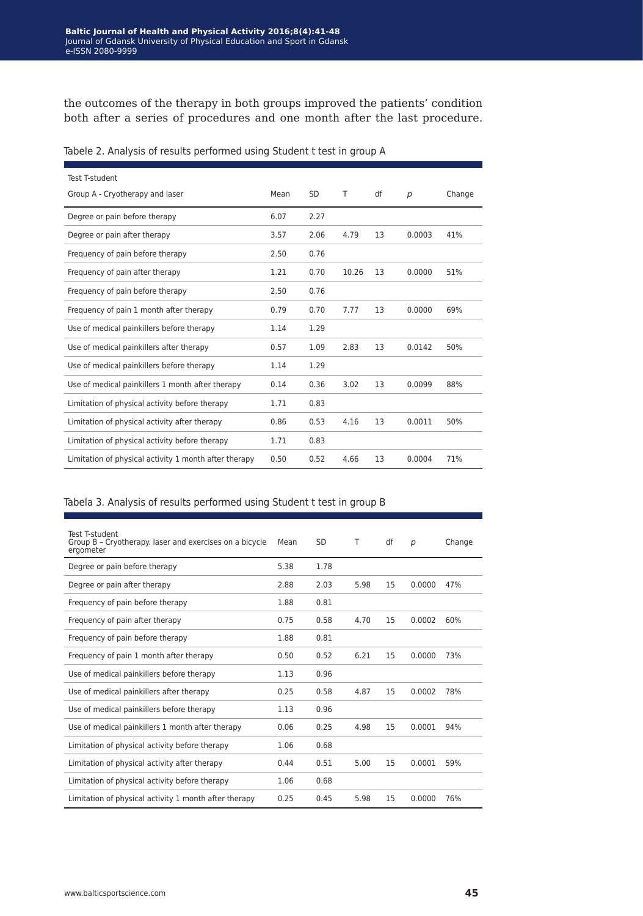the outcomes of the therapy in both groups improved the patients' condition both after a series of procedures and one month after the last procedure.

| Test T-student                                        |      |           |       |    |        |        |
|-------------------------------------------------------|------|-----------|-------|----|--------|--------|
| Group A - Cryotherapy and laser                       | Mean | <b>SD</b> | T     | df | p      | Change |
| Degree or pain before therapy                         | 6.07 | 2.27      |       |    |        |        |
| Degree or pain after therapy                          | 3.57 | 2.06      | 4.79  | 13 | 0.0003 | 41%    |
| Frequency of pain before therapy                      | 2.50 | 0.76      |       |    |        |        |
| Frequency of pain after therapy                       | 1.21 | 0.70      | 10.26 | 13 | 0.0000 | 51%    |
| Frequency of pain before therapy                      | 2.50 | 0.76      |       |    |        |        |
| Frequency of pain 1 month after therapy               | 0.79 | 0.70      | 7.77  | 13 | 0.0000 | 69%    |
| Use of medical painkillers before therapy             | 1.14 | 1.29      |       |    |        |        |
| Use of medical painkillers after therapy              | 0.57 | 1.09      | 2.83  | 13 | 0.0142 | 50%    |
| Use of medical painkillers before therapy             | 1.14 | 1.29      |       |    |        |        |
| Use of medical painkillers 1 month after therapy      | 0.14 | 0.36      | 3.02  | 13 | 0.0099 | 88%    |
| Limitation of physical activity before therapy        | 1.71 | 0.83      |       |    |        |        |
| Limitation of physical activity after therapy         | 0.86 | 0.53      | 4.16  | 13 | 0.0011 | 50%    |
| Limitation of physical activity before therapy        | 1.71 | 0.83      |       |    |        |        |
| Limitation of physical activity 1 month after therapy | 0.50 | 0.52      | 4.66  | 13 | 0.0004 | 71%    |

Tabele 2. Analysis of results performed using Student t test in group A

#### Tabela 3. Analysis of results performed using Student t test in group B

| Test T-student<br>Group B - Cryotherapy. laser and exercises on a bicycle<br>ergometer | Mean | SD   | т    | df | $\mathcal{D}$ | Change |
|----------------------------------------------------------------------------------------|------|------|------|----|---------------|--------|
| Degree or pain before therapy                                                          | 5.38 | 1.78 |      |    |               |        |
| Degree or pain after therapy                                                           | 2.88 | 2.03 | 5.98 | 15 | 0.0000        | 47%    |
| Frequency of pain before therapy                                                       | 1.88 | 0.81 |      |    |               |        |
| Frequency of pain after therapy                                                        | 0.75 | 0.58 | 4.70 | 15 | 0.0002        | 60%    |
| Frequency of pain before therapy                                                       | 1.88 | 0.81 |      |    |               |        |
| Frequency of pain 1 month after therapy                                                | 0.50 | 0.52 | 6.21 | 15 | 0.0000        | 73%    |
| Use of medical painkillers before therapy                                              | 1.13 | 0.96 |      |    |               |        |
| Use of medical painkillers after therapy                                               | 0.25 | 0.58 | 4.87 | 15 | 0.0002        | 78%    |
| Use of medical painkillers before therapy                                              | 1.13 | 0.96 |      |    |               |        |
| Use of medical painkillers 1 month after therapy                                       | 0.06 | 0.25 | 4.98 | 15 | 0.0001        | 94%    |
| Limitation of physical activity before therapy                                         | 1.06 | 0.68 |      |    |               |        |
| Limitation of physical activity after therapy                                          | 0.44 | 0.51 | 5.00 | 15 | 0.0001        | 59%    |
| Limitation of physical activity before therapy                                         | 1.06 | 0.68 |      |    |               |        |
| Limitation of physical activity 1 month after therapy                                  | 0.25 | 0.45 | 5.98 | 15 | 0.0000        | 76%    |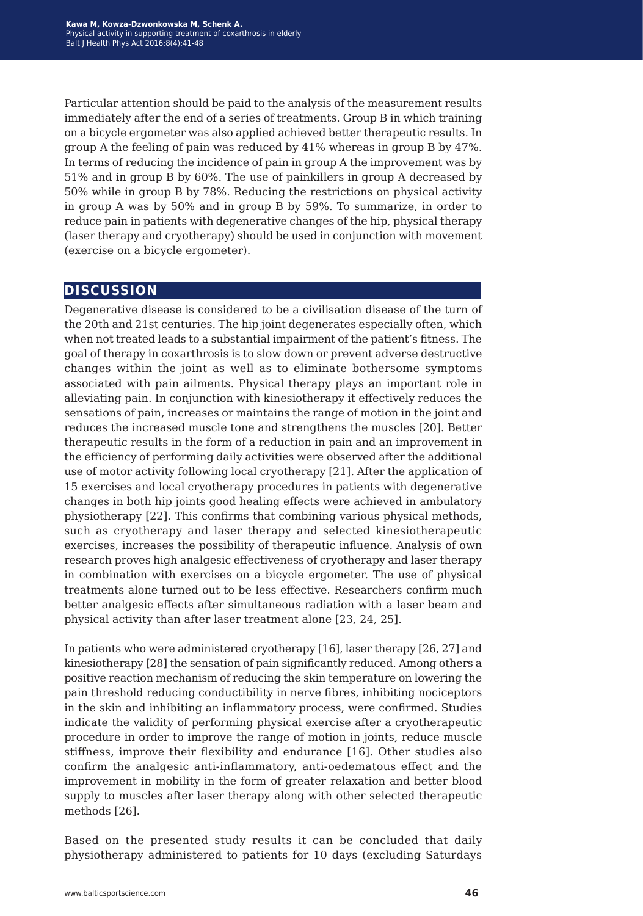Particular attention should be paid to the analysis of the measurement results immediately after the end of a series of treatments. Group B in which training on a bicycle ergometer was also applied achieved better therapeutic results. In group A the feeling of pain was reduced by 41% whereas in group B by 47%. In terms of reducing the incidence of pain in group A the improvement was by 51% and in group B by 60%. The use of painkillers in group A decreased by 50% while in group B by 78%. Reducing the restrictions on physical activity in group A was by 50% and in group B by 59%. To summarize, in order to reduce pain in patients with degenerative changes of the hip, physical therapy (laser therapy and cryotherapy) should be used in conjunction with movement (exercise on a bicycle ergometer).

## **discussion**

Degenerative disease is considered to be a civilisation disease of the turn of the 20th and 21st centuries. The hip joint degenerates especially often, which when not treated leads to a substantial impairment of the patient's fitness. The goal of therapy in coxarthrosis is to slow down or prevent adverse destructive changes within the joint as well as to eliminate bothersome symptoms associated with pain ailments. Physical therapy plays an important role in alleviating pain. In conjunction with kinesiotherapy it effectively reduces the sensations of pain, increases or maintains the range of motion in the joint and reduces the increased muscle tone and strengthens the muscles [20]. Better therapeutic results in the form of a reduction in pain and an improvement in the efficiency of performing daily activities were observed after the additional use of motor activity following local cryotherapy [21]. After the application of 15 exercises and local cryotherapy procedures in patients with degenerative changes in both hip joints good healing effects were achieved in ambulatory physiotherapy [22]. This confirms that combining various physical methods, such as cryotherapy and laser therapy and selected kinesiotherapeutic exercises, increases the possibility of therapeutic influence. Analysis of own research proves high analgesic effectiveness of cryotherapy and laser therapy in combination with exercises on a bicycle ergometer. The use of physical treatments alone turned out to be less effective. Researchers confirm much better analgesic effects after simultaneous radiation with a laser beam and physical activity than after laser treatment alone [23, 24, 25].

In patients who were administered cryotherapy [16], laser therapy [26, 27] and kinesiotherapy [28] the sensation of pain significantly reduced. Among others a positive reaction mechanism of reducing the skin temperature on lowering the pain threshold reducing conductibility in nerve fibres, inhibiting nociceptors in the skin and inhibiting an inflammatory process, were confirmed. Studies indicate the validity of performing physical exercise after a cryotherapeutic procedure in order to improve the range of motion in joints, reduce muscle stiffness, improve their flexibility and endurance [16]. Other studies also confirm the analgesic anti-inflammatory, anti-oedematous effect and the improvement in mobility in the form of greater relaxation and better blood supply to muscles after laser therapy along with other selected therapeutic methods [26].

Based on the presented study results it can be concluded that daily physiotherapy administered to patients for 10 days (excluding Saturdays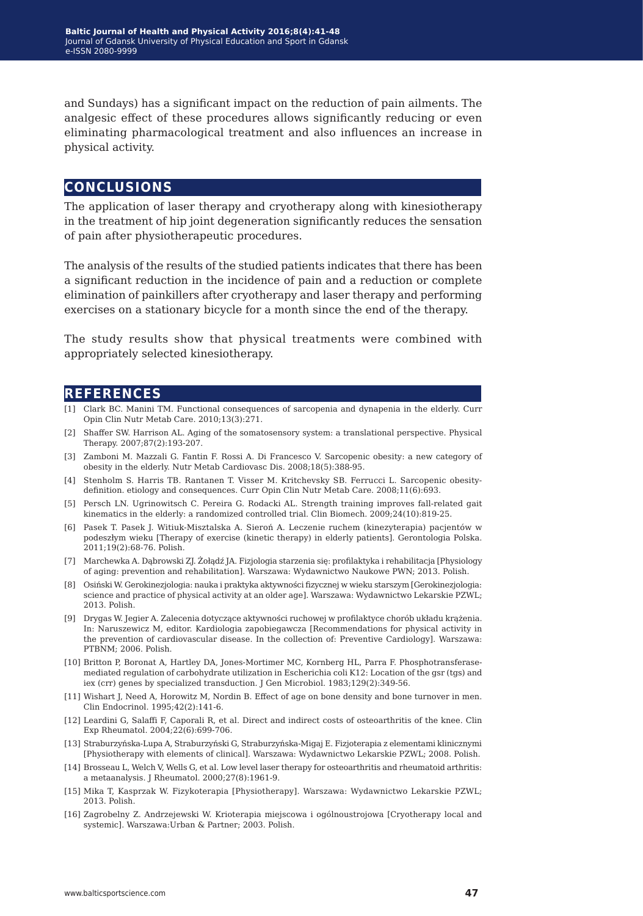and Sundays) has a significant impact on the reduction of pain ailments. The analgesic effect of these procedures allows significantly reducing or even eliminating pharmacological treatment and also influences an increase in physical activity.

### **conclusions**

The application of laser therapy and cryotherapy along with kinesiotherapy in the treatment of hip joint degeneration significantly reduces the sensation of pain after physiotherapeutic procedures.

The analysis of the results of the studied patients indicates that there has been a significant reduction in the incidence of pain and a reduction or complete elimination of painkillers after cryotherapy and laser therapy and performing exercises on a stationary bicycle for a month since the end of the therapy.

The study results show that physical treatments were combined with appropriately selected kinesiotherapy.

#### **references**

- [1] Clark BC. Manini TM. Functional consequences of sarcopenia and dynapenia in the elderly. Curr Opin Clin Nutr Metab Care. 2010;13(3):271.
- [2] Shaffer SW. Harrison AL. Aging of the somatosensory system: a translational perspective. Physical Therapy. 2007;87(2):193-207.
- [3] Zamboni M. Mazzali G. Fantin F. Rossi A. Di Francesco V. Sarcopenic obesity: a new category of obesity in the elderly. Nutr Metab Cardiovasc Dis. 2008;18(5):388-95.
- [4] Stenholm S. Harris TB. Rantanen T. Visser M. Kritchevsky SB. Ferrucci L. Sarcopenic obesitydefinition. etiology and consequences. Curr Opin Clin Nutr Metab Care. 2008;11(6):693.
- [5] Persch LN. Ugrinowitsch C. Pereira G. Rodacki AL. Strength training improves fall-related gait kinematics in the elderly: a randomized controlled trial. Clin Biomech. 2009;24(10):819-25.
- [6] Pasek T. Pasek J. Witiuk-Misztalska A. Sieroń A. Leczenie ruchem (kinezyterapia) pacjentów w podeszłym wieku [Therapy of exercise (kinetic therapy) in elderly patients]. Gerontologia Polska. 2011;19(2):68-76. Polish.
- [7] Marchewka A. Dąbrowski ZJ. Żołądź JA. Fizjologia starzenia się: profilaktyka i rehabilitacja [Physiology of aging: prevention and rehabilitation]. Warszawa: Wydawnictwo Naukowe PWN; 2013. Polish.
- [8] Osiński W. Gerokinezjologia: nauka i praktyka aktywności fizycznej w wieku starszym [Gerokinezjologia: science and practice of physical activity at an older age]. Warszawa: Wydawnictwo Lekarskie PZWL; 2013. Polish.
- [9] Drygas W. Jegier A. Zalecenia dotyczące aktywności ruchowej w profilaktyce chorób układu krążenia. In: Naruszewicz M, editor. Kardiologia zapobiegawcza [Recommendations for physical activity in the prevention of cardiovascular disease. In the collection of: Preventive Cardiology]. Warszawa: PTBNM; 2006. Polish.
- [10] Britton P, Boronat A, Hartley DA, Jones-Mortimer MC, Kornberg HL, Parra F. Phosphotransferasemediated regulation of carbohydrate utilization in Escherichia coli K12: Location of the gsr (tgs) and iex (crr) genes by specialized transduction. J Gen Microbiol. 1983;129(2):349-56.
- [11] Wishart J, Need A, Horowitz M, Nordin B. Effect of age on bone density and bone turnover in men. Clin Endocrinol. 1995;42(2):141-6.
- [12] Leardini G, Salaffi F, Caporali R, et al. Direct and indirect costs of osteoarthritis of the knee. Clin Exp Rheumatol. 2004;22(6):699-706.
- [13] Straburzyńska-Lupa A, Straburzyński G, Straburzyńska-Migaj E. Fizjoterapia z elementami klinicznymi [Physiotherapy with elements of clinical]. Warszawa: Wydawnictwo Lekarskie PZWL; 2008. Polish.
- [14] Brosseau L, Welch V, Wells G, et al. Low level laser therapy for osteoarthritis and rheumatoid arthritis: a metaanalysis. J Rheumatol. 2000;27(8):1961-9.
- [15] Mika T, Kasprzak W. Fizykoterapia [Physiotherapy]. Warszawa: Wydawnictwo Lekarskie PZWL; 2013. Polish.
- [16] Zagrobelny Z. Andrzejewski W. Krioterapia miejscowa i ogólnoustrojowa [Cryotherapy local and systemic]. Warszawa:Urban & Partner; 2003. Polish.